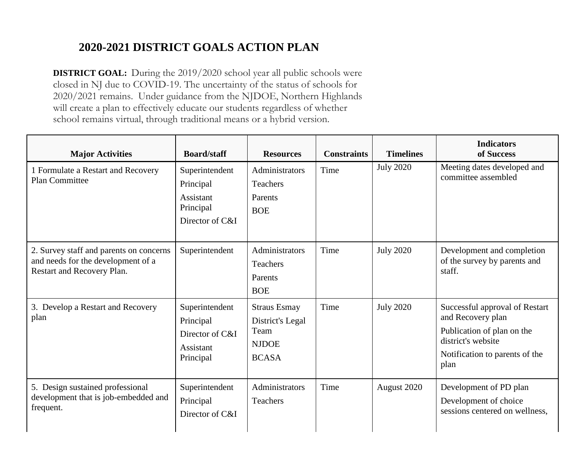## **2020-2021 DISTRICT GOALS ACTION PLAN**

**DISTRICT GOAL:** During the 2019/2020 school year all public schools were closed in NJ due to COVID-19. The uncertainty of the status of schools for 2020/2021 remains. Under guidance from the NJDOE, Northern Highlands will create a plan to effectively educate our students regardless of whether school remains virtual, through traditional means or a hybrid version.

| <b>Major Activities</b>                                                                                     | <b>Board/staff</b>                                                       | <b>Resources</b>                                                                | <b>Constraints</b> | <b>Timelines</b> | <b>Indicators</b><br>of Success                                                                                                                   |
|-------------------------------------------------------------------------------------------------------------|--------------------------------------------------------------------------|---------------------------------------------------------------------------------|--------------------|------------------|---------------------------------------------------------------------------------------------------------------------------------------------------|
| 1 Formulate a Restart and Recovery<br><b>Plan Committee</b>                                                 | Superintendent<br>Principal<br>Assistant<br>Principal<br>Director of C&I | Administrators<br>Teachers<br>Parents<br><b>BOE</b>                             | Time               | <b>July 2020</b> | Meeting dates developed and<br>committee assembled                                                                                                |
| 2. Survey staff and parents on concerns<br>and needs for the development of a<br>Restart and Recovery Plan. | Superintendent                                                           | Administrators<br>Teachers<br>Parents<br><b>BOE</b>                             | Time               | <b>July 2020</b> | Development and completion<br>of the survey by parents and<br>staff.                                                                              |
| 3. Develop a Restart and Recovery<br>plan                                                                   | Superintendent<br>Principal<br>Director of C&I<br>Assistant<br>Principal | <b>Straus Esmay</b><br>District's Legal<br>Team<br><b>NJDOE</b><br><b>BCASA</b> | Time               | <b>July 2020</b> | Successful approval of Restart<br>and Recovery plan<br>Publication of plan on the<br>district's website<br>Notification to parents of the<br>plan |
| 5. Design sustained professional<br>development that is job-embedded and<br>frequent.                       | Superintendent<br>Principal<br>Director of C&I                           | Administrators<br>Teachers                                                      | Time               | August 2020      | Development of PD plan<br>Development of choice<br>sessions centered on wellness,                                                                 |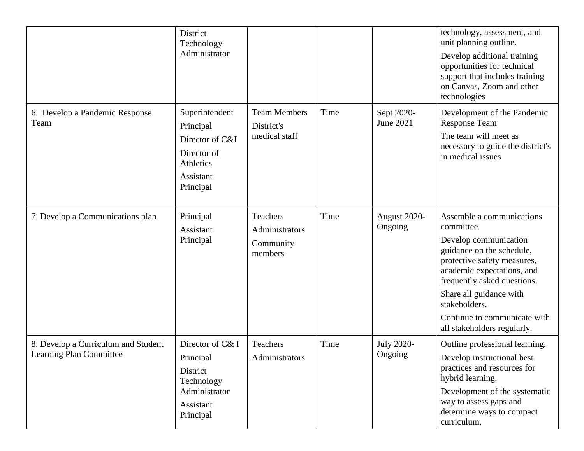|                                                                | District<br>Technology<br>Administrator                                                              |                                                    |      |                                | technology, assessment, and<br>unit planning outline.<br>Develop additional training<br>opportunities for technical<br>support that includes training<br>on Canvas, Zoom and other<br>technologies                                                                                                   |
|----------------------------------------------------------------|------------------------------------------------------------------------------------------------------|----------------------------------------------------|------|--------------------------------|------------------------------------------------------------------------------------------------------------------------------------------------------------------------------------------------------------------------------------------------------------------------------------------------------|
| 6. Develop a Pandemic Response<br>Team                         | Superintendent<br>Principal<br>Director of C&I<br>Director of<br>Athletics<br>Assistant<br>Principal | <b>Team Members</b><br>District's<br>medical staff | Time | Sept 2020-<br><b>June 2021</b> | Development of the Pandemic<br><b>Response Team</b><br>The team will meet as<br>necessary to guide the district's<br>in medical issues                                                                                                                                                               |
| 7. Develop a Communications plan                               | Principal<br>Assistant<br>Principal                                                                  | Teachers<br>Administrators<br>Community<br>members | Time | August 2020-<br>Ongoing        | Assemble a communications<br>committee.<br>Develop communication<br>guidance on the schedule,<br>protective safety measures,<br>academic expectations, and<br>frequently asked questions.<br>Share all guidance with<br>stakeholders.<br>Continue to communicate with<br>all stakeholders regularly. |
| 8. Develop a Curriculum and Student<br>Learning Plan Committee | Director of C& I<br>Principal<br>District<br>Technology<br>Administrator<br>Assistant<br>Principal   | Teachers<br>Administrators                         | Time | <b>July 2020-</b><br>Ongoing   | Outline professional learning.<br>Develop instructional best<br>practices and resources for<br>hybrid learning.<br>Development of the systematic<br>way to assess gaps and<br>determine ways to compact<br>curriculum.                                                                               |